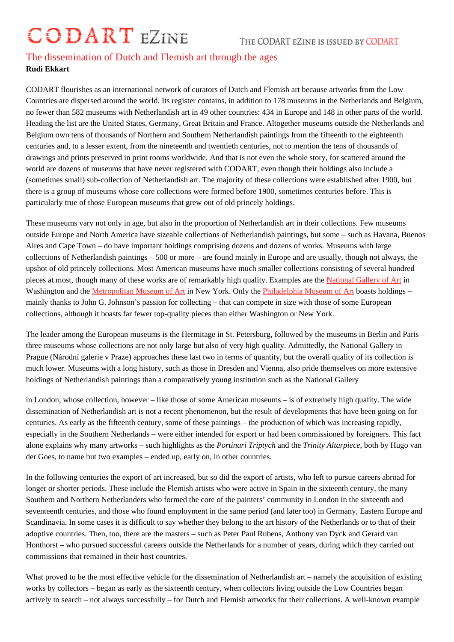## The dissemination of Dutch and Flemish art through the ages Rudi Ekkart

CODART flourishes as an international network of curators of Dutch and Flemish art because artworks from the Low Countries are dispersed around the world. Its register contains, in addition to 178 museums in the Netherlands and Belgium, no fewer than 582 museums with Netherlandish art in 49 other countries: 434 in Europe and 148 in other parts of the world. Heading the list are the United States, Germany, Great Britain and France. Altogether museums outside the Netherlands and Belgium own tens of thousands of Northern and Southern Netherlandish paintings from the fifteenth to the eighteenth centuries and, to a lesser extent, from the nineteenth and twentieth centuries, not to mention the tens of thousands of drawings and prints preserved in print rooms worldwide. And that is not even the whole story, for scattered around the world are dozens of museums that have never registered with CODART, even though their holdings also include a (sometimes small) sub-collection of Netherlandish art. The majority of these collections were established after 1900, but there is a group of museums whose core collections were formed before 1900, sometimes centuries before. This is particularly true of those European museums that grew out of old princely holdings.

These museums vary not only in age, but also in the proportion of Netherlandish art in their collections. Few museums outside Europe and North America have sizeable collections of Netherlandish paintings, but some – such as Havana, Buenos Aires and Cape Town – do have important holdings comprising dozens and dozens of works. Museums with large collections of Netherlandish paintings – 500 or more – are found mainly in Europe and are usually, though not always, the upshot of old princely collections. Most American museums have much smaller collections consisting of several hundred pieces at most, though many of these works are of remarkably high quality. Examples at most, the Natin Washington and the Metropolitan Museum of Art in New York. Only the Philadelphia Museum of Abboasts holdings – mainly thanks to John G. Johnson's passion for collecting – that can compete in size with those of some European collections, although it boasts far fewer top-quality pieces than either Washington or [New York.](http://www.codart.nl/291/institutions/details/?institution_id=145)

The leader among [the European museums is](http://www.codart.nl/291/institutions/details/?institution_id=113) the Hermitage in St. [Petersburg, followed by th](http://www.codart.nl/291/institutions/details/?institution_id=121)e museums in Berlin and Paris – three museums whose collections are not only large but also of very high quality. Admittedly, the National Gallery in Prague (Národní galerie v Praze) approaches these last two in terms of quantity, but the overall quality of its collection is much lower. Museums with a long history, such as those in Dresden and Vienna, also pride themselves on more extensive holdings of Netherlandish paintings than a comparatively young institution such as the National Gallery

in London, whose collection, however – like those of some American museums – is of extremely high quality. The wide dissemination of Netherlandish art is not a recent phenomenon, but the result of developments that have been going on for centuries. As early as the fifteenth century, some of these paintings – the production of which was increasing rapidly, especially in the Southern Netherlands – were either intended for export or had been commissioned by foreigners. This fact alone explains why many artworks – such highlights a  $\theta$ **the** nari Triptych and the Trinity Altarpiece both by Hugo van der Goes, to name but two examples – ended up, early on, in other countries.

In the following centuries the export of art increased, but so did the export of artists, who left to pursue careers abroad for longer or shorter periods. These include the Flemish artists who were active in Spain in the sixteenth century, the many Southern and Northern Netherlanders who formed the core of the painters' community in London in the sixteenth and seventeenth centuries, and those who found employment in the same period (and later too) in Germany, Eastern Europe and Scandinavia. In some cases it is difficult to say whether they belong to the art history of the Netherlands or to that of their adoptive countries. Then, too, there are the masters – such as Peter Paul Rubens, Anthony van Dyck and Gerard van Honthorst – who pursued successful careers outside the Netherlands for a number of years, during which they carried out commissions that remained in their host countries.

What proved to be the most effective vehicle for the dissemination of Netherlandish art – namely the acquisition of existing works by collectors – began as early as the sixteenth century, when collectors living outside the Low Countries began actively to search – not always successfully – for Dutch and Flemish artworks for their collections. A well-known example